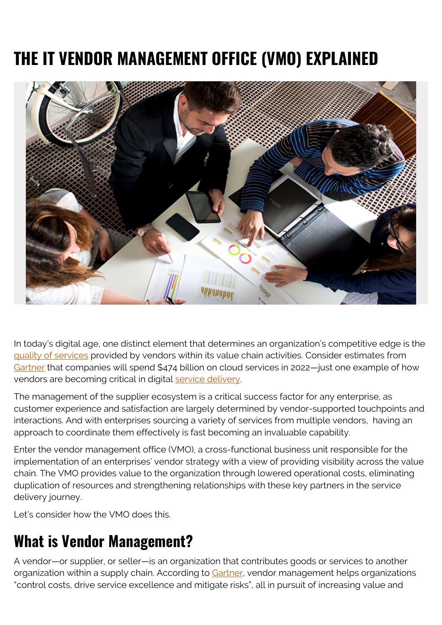# **THE IT VENDOR MANAGEMENT OFFICE (VMO) EXPLAINED**



In today's digital age, one distinct element that determines an organization's competitive edge is the [quality of services](https://www.bmc.com/blogs/four-ps-itil-service-design/) provided by vendors within its value chain activities. Consider estimates from [Gartner](https://www.gartner.com/en/newsroom/press-releases/2021-11-10-gartner-says-cloud-will-be-the-centerpiece-of-new-digital-experiences) that companies will spend \$474 billion on cloud services in 2022—just one example of how vendors are becoming critical in digital [service delivery.](https://www.bmc.com/blogs/itil-service-delivery/)

The management of the supplier ecosystem is a critical success factor for any enterprise, as customer experience and satisfaction are largely determined by vendor-supported touchpoints and interactions. And with enterprises sourcing a variety of services from multiple vendors, having an approach to coordinate them effectively is fast becoming an invaluable capability.

Enter the vendor management office (VMO), a cross-functional business unit responsible for the implementation of an enterprises' vendor strategy with a view of providing visibility across the value chain. The VMO provides value to the organization through lowered operational costs, eliminating duplication of resources and strengthening relationships with these key partners in the service delivery journey.

Let's consider how the VMO does this.

## **What is Vendor Management?**

A vendor—or supplier, or seller—is an organization that contributes goods or services to another organization within a supply chain. According to [Gartner](https://www.gartner.com/it-glossary/vendor-management), vendor management helps organizations "control costs, drive service excellence and mitigate risks", all in pursuit of increasing value and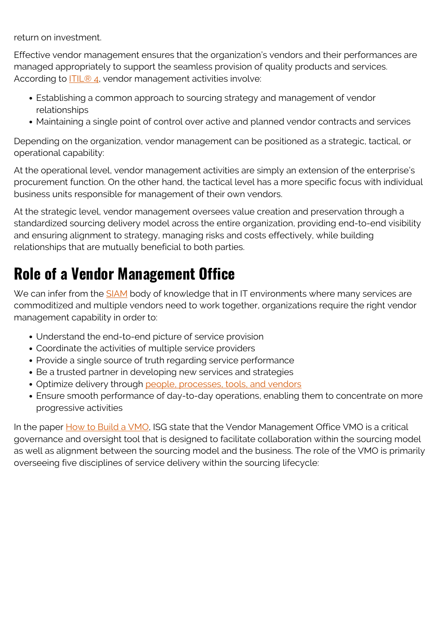return on investment.

Effective vendor management ensures that the organization's vendors and their performances are managed appropriately to support the seamless provision of quality products and services. According to [ITIL® 4](https://www.bmc.com/blogs/itil-4/), vendor management activities involve:

- Establishing a common approach to sourcing strategy and management of vendor relationships
- Maintaining a single point of control over active and planned vendor contracts and services

Depending on the organization, vendor management can be positioned as a strategic, tactical, or operational capability:

At the operational level, vendor management activities are simply an extension of the enterprise's procurement function. On the other hand, the tactical level has a more specific focus with individual business units responsible for management of their own vendors.

At the strategic level, vendor management oversees value creation and preservation through a standardized sourcing delivery model across the entire organization, providing end-to-end visibility and ensuring alignment to strategy, managing risks and costs effectively, while building relationships that are mutually beneficial to both parties.

## **Role of a Vendor Management Office**

We can infer from the **SIAM** body of knowledge that in IT environments where many services are commoditized and multiple vendors need to work together, organizations require the right vendor management capability in order to:

- Understand the end-to-end picture of service provision
- Coordinate the activities of multiple service providers
- Provide a single source of truth regarding service performance
- Be a trusted partner in developing new services and strategies
- Optimize delivery through [people, processes, tools, and vendors](https://www.bmc.com/blogs/people-process-technology/)
- Ensure smooth performance of day-to-day operations, enabling them to concentrate on more progressive activities

In the paper [How to Build a VMO](https://isg-one.com/articles/how-to-build-a-vmo-lessons-learned-and-keys-to-success), ISG state that the Vendor Management Office VMO is a critical governance and oversight tool that is designed to facilitate collaboration within the sourcing model as well as alignment between the sourcing model and the business. The role of the VMO is primarily overseeing five disciplines of service delivery within the sourcing lifecycle: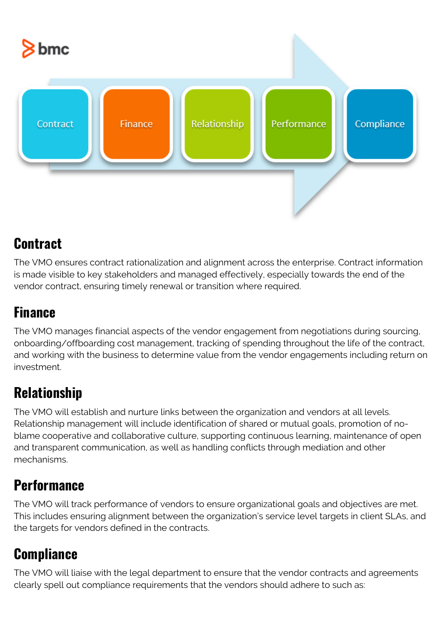

### **Contract**

The VMO ensures contract rationalization and alignment across the enterprise. Contract information is made visible to key stakeholders and managed effectively, especially towards the end of the vendor contract, ensuring timely renewal or transition where required.

#### **Finance**

The VMO manages financial aspects of the vendor engagement from negotiations during sourcing, onboarding/offboarding cost management, tracking of spending throughout the life of the contract, and working with the business to determine value from the vendor engagements including return on investment.

### **Relationship**

The VMO will establish and nurture links between the organization and vendors at all levels. Relationship management will include identification of shared or mutual goals, promotion of noblame cooperative and collaborative culture, supporting continuous learning, maintenance of open and transparent communication, as well as handling conflicts through mediation and other mechanisms.

#### **Performance**

The VMO will track performance of vendors to ensure organizational goals and objectives are met. This includes ensuring alignment between the organization's service level targets in client SLAs, and the targets for vendors defined in the contracts.

#### **Compliance**

The VMO will liaise with the legal department to ensure that the vendor contracts and agreements clearly spell out compliance requirements that the vendors should adhere to such as: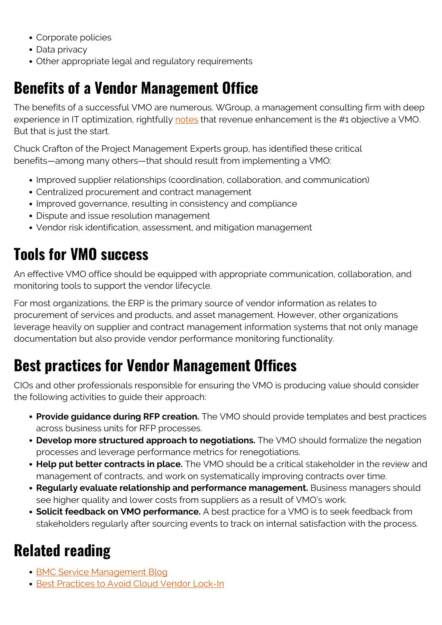- Corporate policies
- Data privacy
- Other appropriate legal and regulatory requirements

## **Benefits of a Vendor Management Office**

The benefits of a successful VMO are numerous. WGroup, a management consulting firm with deep experience in IT optimization, rightfully [notes](http://thinkwgroup.com/10-objectives-of-a-vendor-management-organization) that revenue enhancement is the #1 objective a VMO. But that is just the start.

Chuck Crafton of the Project Management Experts group, has identified these critical benefits—among many others—that should result from implementing a VMO:

- Improved supplier relationships (coordination, collaboration, and communication)
- Centralized procurement and contract management
- Improved governance, resulting in consistency and compliance
- Dispute and issue resolution management
- Vendor risk identification, assessment, and mitigation management

## **Tools for VMO success**

An effective VMO office should be equipped with appropriate communication, collaboration, and monitoring tools to support the vendor lifecycle.

For most organizations, the ERP is the primary source of vendor information as relates to procurement of services and products, and asset management. However, other organizations leverage heavily on supplier and contract management information systems that not only manage documentation but also provide vendor performance monitoring functionality.

## **Best practices for Vendor Management Offices**

CIOs and other professionals responsible for ensuring the VMO is producing value should consider the following activities to guide their approach:

- **Provide guidance during RFP creation.** The VMO should provide templates and best practices across business units for RFP processes.
- **Develop more structured approach to negotiations.** The VMO should formalize the negation processes and leverage performance metrics for renegotiations.
- **Help put better contracts in place.** The VMO should be a critical stakeholder in the review and management of contracts, and work on systematically improving contracts over time.
- **Regularly evaluate relationship and performance management.** Business managers should see higher quality and lower costs from suppliers as a result of VMO's work.
- **Solicit feedback on VMO performance.** A best practice for a VMO is to seek feedback from stakeholders regularly after sourcing events to track on internal satisfaction with the process.

## **Related reading**

- [BMC Service Management Blog](https://www.bmc.com/blogs/categories/itsm/)
- **[Best Practices to Avoid Cloud Vendor Lock-In](https://www.bmc.com/blogs/vendor-lock-in/)**